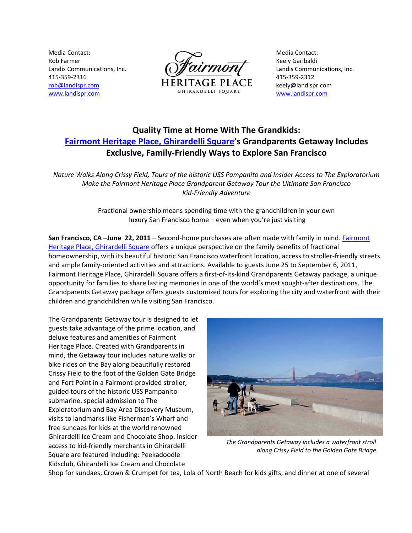Media Contact: Rob Farmer Landis Communications, Inc. 415‐359‐2316 rob@landispr.com www.landispr.com



Media Contact: Keely Garibaldi Landis Communications, Inc. 415‐359‐2312 keely@landispr.com www.landispr.com

# **Quality Time at Home With The Grandkids: Fairmont Heritage Place, Ghirardelli Square's Grandparents Getaway Includes Exclusive, Family‐Friendly Ways to Explore San Francisco**

Nature Walks Along Crissy Field, Tours of the historic USS Pampanito and Insider Access to The Exploratorium *Make the Fairmont Heritage Place Grandparent Getaway Tour the Ultimate San Francisco Kid‐Friendly Adventure* 

> Fractional ownership means spending time with the grandchildren in your own luxury San Francisco home – even when you're just visiting

**San Francisco, CA –June 22, 2011** – Second‐home purchases are often made with family in mind. Fairmont Heritage Place, Ghirardelli Square offers a unique perspective on the family benefits of fractional homeownership, with its beautiful historic San Francisco waterfront location, access to stroller‐friendly streets and ample family‐oriented activities and attractions. Available to guests June 25 to September 6, 2011, Fairmont Heritage Place, Ghirardelli Square offers a first-of-its-kind Grandparents Getaway package, a unique opportunity for families to share lasting memories in one of the world's most sought‐after destinations. The Grandparents Getaway package offers guests customized tours for exploring the city and waterfront with their children and grandchildren while visiting San Francisco.

The Grandparents Getaway tour is designed to let guests take advantage of the prime location, and deluxe features and amenities of Fairmont Heritage Place. Created with Grandparents in mind, the Getaway tour includes nature walks or bike rides on the Bay along beautifully restored Crissy Field to the foot of the Golden Gate Bridge and Fort Point in a Fairmont‐provided stroller, guided tours of the historic USS Pampanito submarine, special admission to The Exploratorium and Bay Area Discovery Museum, visits to landmarks like Fisherman's Wharf and free sundaes for kids at the world renowned Ghirardelli Ice Cream and Chocolate Shop. Insider access to kid‐friendly merchants in Ghirardelli Square are featured including: Peekadoodle Kidsclub, Ghirardelli Ice Cream and Chocolate



*The Grandparents Getaway includes a waterfront stroll along Crissy Field to the Golden Gate Bridge*

Shop for sundaes, Crown & Crumpet for tea, Lola of North Beach for kids gifts, and dinner at one of several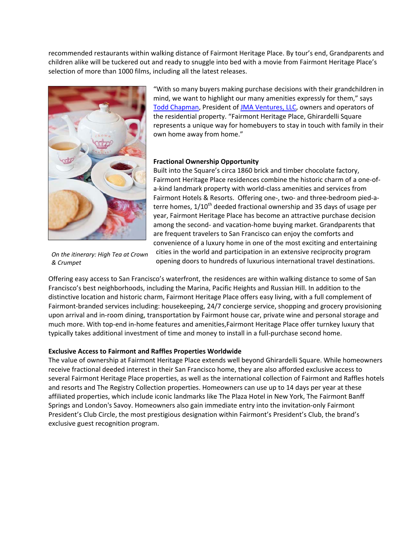recommended restaurants within walking distance of Fairmont Heritage Place. By tour's end, Grandparents and children alike will be tuckered out and ready to snuggle into bed with a movie from Fairmont Heritage Place's selection of more than 1000 films, including all the latest releases.



"With so many buyers making purchase decisions with their grandchildren in mind, we want to highlight our many amenities expressly for them," says Todd Chapman, President of JMA Ventures, LLC, owners and operators of the residential property. "Fairmont Heritage Place, Ghirardelli Square represents a unique way for homebuyers to stay in touch with family in their own home away from home."

# **Fractional Ownership Opportunity**

Built into the Square's circa 1860 brick and timber chocolate factory, Fairmont Heritage Place residences combine the historic charm of a one‐of‐ a‐kind landmark property with world‐class amenities and services from Fairmont Hotels & Resorts. Offering one‐, two‐ and three‐bedroom pied‐a‐ terre homes,  $1/10<sup>th</sup>$  deeded fractional ownership and 35 days of usage per year, Fairmont Heritage Place has become an attractive purchase decision among the second‐ and vacation‐home buying market. Grandparents that are frequent travelers to San Francisco can enjoy the comforts and convenience of a luxury home in one of the most exciting and entertaining cities in the world and participation in an extensive reciprocity program opening doors to hundreds of luxurious international travel destinations.

*On the itinerary: High Tea at Crown & Crumpet*

Offering easy access to San Francisco's waterfront, the residences are within walking distance to some of San Francisco's best neighborhoods, including the Marina, Pacific Heights and Russian Hill. In addition to the distinctive location and historic charm, Fairmont Heritage Place offers easy living, with a full complement of Fairmont-branded services including: housekeeping, 24/7 concierge service, shopping and grocery provisioning upon arrival and in‐room dining, transportation by Fairmont house car, private wine and personal storage and much more. With top-end in-home features and amenities, Fairmont Heritage Place offer turnkey luxury that typically takes additional investment of time and money to install in a full‐purchase second home.

# **Exclusive Access to Fairmont and Raffles Properties Worldwide**

The value of ownership at Fairmont Heritage Place extends well beyond Ghirardelli Square. While homeowners receive fractional deeded interest in their San Francisco home, they are also afforded exclusive access to several Fairmont Heritage Place properties, as well as the international collection of Fairmont and Raffles hotels and resorts and The Registry Collection properties. Homeowners can use up to 14 days per year at these affiliated properties, which include iconic landmarks like The Plaza Hotel in New York, The Fairmont Banff Springs and London's Savoy. Homeowners also gain immediate entry into the invitation‐only Fairmont President's Club Circle, the most prestigious designation within Fairmont's President's Club, the brand's exclusive guest recognition program.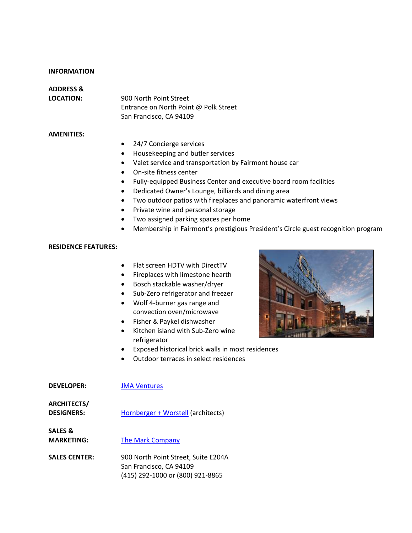#### **INFORMATION**

# **ADDRESS &**

**LOCATION:** 900 North Point Street Entrance on North Point @ Polk Street San Francisco, CA 94109

# **AMENITIES:**

- 24/7 Concierge services
- Housekeeping and butler services
- Valet service and transportation by Fairmont house car
- On‐site fitness center
- Fully‐equipped Business Center and executive board room facilities
- Dedicated Owner's Lounge, billiards and dining area
- Two outdoor patios with fireplaces and panoramic waterfront views
- Private wine and personal storage
- Two assigned parking spaces per home
- Membership in Fairmont's prestigious President's Circle guest recognition program

### **RESIDENCE FEATURES:**

- Flat screen HDTV with DirectTV
- Fireplaces with limestone hearth
- Bosch stackable washer/dryer
- Sub‐Zero refrigerator and freezer
- Wolf 4‐burner gas range and convection oven/microwave
- Fisher & Paykel dishwasher
- Kitchen island with Sub‐Zero wine refrigerator
- Exposed historical brick walls in most residences
- Outdoor terraces in select residences



| <b>DEVELOPER:</b>                       | <b>JMA Ventures</b>                                                                                |
|-----------------------------------------|----------------------------------------------------------------------------------------------------|
| <b>ARCHITECTS/</b><br><b>DESIGNERS:</b> | Hornberger + Worstell (architects)                                                                 |
| SALES &<br><b>MARKETING:</b>            | The Mark Company                                                                                   |
| <b>SALES CENTER:</b>                    | 900 North Point Street, Suite E204A<br>San Francisco, CA 94109<br>(415) 292-1000 or (800) 921-8865 |